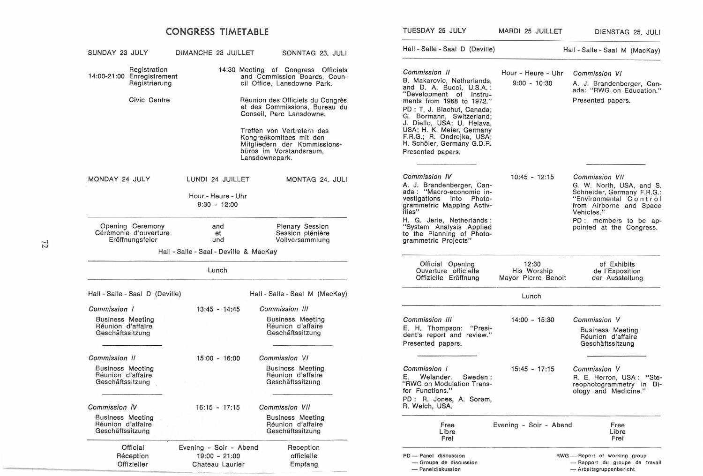|                                                                                   | <b>CONGRESS TIMETABLE</b>                                    |                                                                                                                                                                                                                                                                                                                                           | TUESDAY 25 JULY                                                                                                                                                                                                                                                                                                                       | MARDI 25 JUILLET                            | DIENSTAG 25, JULI                                                                                                                           |
|-----------------------------------------------------------------------------------|--------------------------------------------------------------|-------------------------------------------------------------------------------------------------------------------------------------------------------------------------------------------------------------------------------------------------------------------------------------------------------------------------------------------|---------------------------------------------------------------------------------------------------------------------------------------------------------------------------------------------------------------------------------------------------------------------------------------------------------------------------------------|---------------------------------------------|---------------------------------------------------------------------------------------------------------------------------------------------|
| SUNDAY 23 JULY                                                                    | DIMANCHE 23 JUILLET                                          | SONNTAG 23, JULI                                                                                                                                                                                                                                                                                                                          | Hall - Salle - Saal D (Deville)                                                                                                                                                                                                                                                                                                       |                                             | Hall - Salle - Saal M (MacKay)                                                                                                              |
| Registration<br>14:00-21:00 Enregistrement<br>Registrierung<br>Civic Centre       |                                                              | 14:30 Meeting of Congress Officials<br>and Commission Boards, Coun-<br>cil Office, Lansdowne Park.<br>Réunion des Officiels du Congrès<br>et des Commissions, Bureau du<br>Conseil, Parc Lansdowne.<br>Treffen von Vertretern des<br>Kongreßkomitees mit den<br>Mitgliedern der Kommissions-<br>büros im Vorstandsraum,<br>Lansdownepark. | Commission II<br>B. Makarovic, Netherlands,<br>and D. A. Bucci, U.S.A.:<br>"Development of Instru-<br>ments from 1968 to 1972."<br>PD : T. J. Blachut, Canada;<br>G. Bormann, Switzerland;<br>J. Diello, USA; U. Helava,<br>USA; H. K. Meier, Germany<br>F.R.G.; R. Ondrejka, USA;<br>H. Schöler, Germany G.D.R.<br>Presented papers. | Hour - Heure - Uhr<br>$9:00 - 10:30$        | Commission VI<br>A. J. Brandenberger, Can-<br>ada: "RWG on Education."<br>Presented papers.                                                 |
| MONDAY 24 JULY                                                                    | LUNDI 24 JUILLET<br>Hour - Heure - Uhr<br>$9:30 - 12:00$     | MONTAG 24. JULI                                                                                                                                                                                                                                                                                                                           | Commission IV<br>A. J. Brandenberger, Can-<br>ada : "Macro-economic in-<br>vestigations into Photo-<br>grammetric Mapping Activ-<br>ities"                                                                                                                                                                                            | $10:45 - 12:15$                             | Commission VII<br>G. W. North, USA, and S.<br>Schneider, Germany F.R.G.:<br>"Environmental Control<br>from Airborne and Space<br>Vehicles." |
| Opening Ceremony<br>Cérémonie d'ouverture<br>Eröffnungsfeier                      | and<br>et<br>und<br>Hall - Salle - Saal - Deville & MacKay   | <b>Plenary Session</b><br>Session plénière<br>Vollversammlung                                                                                                                                                                                                                                                                             | H. G. Jerie, Netherlands:<br>"System Analysis Applied<br>to the Planning of Photo-<br>grammetric Projects"                                                                                                                                                                                                                            |                                             | PD: members to be ap-<br>pointed at the Congress.                                                                                           |
|                                                                                   | Lunch                                                        |                                                                                                                                                                                                                                                                                                                                           | Official Opening<br>Ouverture officielle<br>Offizielle Eröffnung                                                                                                                                                                                                                                                                      | 12:30<br>His Worship<br>Mayor Pierre Benoit | of Exhibits<br>de l'Exposition<br>der Ausstellung                                                                                           |
| Hall - Salle - Saal D (Deville)                                                   |                                                              | Hall - Salle - Saal M (MacKay)                                                                                                                                                                                                                                                                                                            |                                                                                                                                                                                                                                                                                                                                       | Lunch                                       |                                                                                                                                             |
| Commission 1<br><b>Business Meeting</b><br>Réunion d'affaire<br>Geschäftssitzung  | $13:45 - 14:45$                                              | Commission III<br><b>Business Meeting</b><br>Réunion d'affaire<br>Geschäftssitzung                                                                                                                                                                                                                                                        | Commission III<br>E. H. Thompson:<br>"Presi-<br>dent's report and review."<br>Presented papers.                                                                                                                                                                                                                                       | $14:00 - 15:30$                             | Commission V<br><b>Business Meeting</b><br>Réunion d'affaire<br>Geschäftssitzung                                                            |
| Commission II<br><b>Business Meeting</b><br>Réunion d'affaire<br>Geschäftssitzung | $15:00 - 16:00$                                              | Commission VI<br><b>Business Meeting</b><br>Réunion d'affaire<br>Geschäftssitzung                                                                                                                                                                                                                                                         | Commission 1<br>E. Welander.<br>Sweden:<br>"RWG on Modulation Trans-<br>fer Functions."<br>PD: R. Jones, A. Sorem,                                                                                                                                                                                                                    | $15:45 - 17:15$                             | Commission V<br>R. E. Herron, USA: "Ste-<br>reophotogrammetry in Bi-<br>ology and Medicine."                                                |
| Commission IV<br><b>Business Meeting</b><br>Réunion d'affaire<br>Geschäftssitzung | $16:15 - 17:15$                                              | Commission VII<br><b>Business Meeting</b><br>Réunion d'affaire<br>Geschäftssitzung                                                                                                                                                                                                                                                        | R. Welch, USA.<br>Free<br>Libre<br>Frei                                                                                                                                                                                                                                                                                               | Evening - Soir - Abend                      | Free<br>Libre<br>Frei                                                                                                                       |
| Official<br>Réception<br>Offizieller                                              | Evening - Soir - Abend<br>$19:00 - 21:00$<br>Chateau Laurier | Reception<br>officielle<br>Empfang                                                                                                                                                                                                                                                                                                        | PD - Panel discussion<br>- Groupe de discussion<br>- Paneldiskussion                                                                                                                                                                                                                                                                  |                                             | RWG - Report of working group<br>- Rapport du groupe de travail<br>- Arbeitsgruppenbericht                                                  |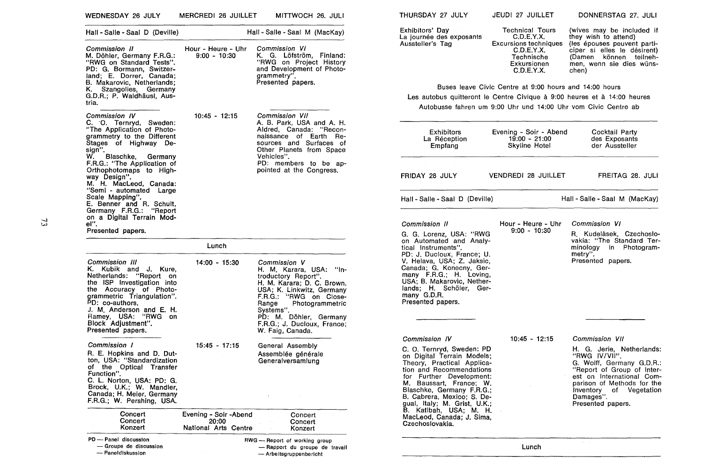| WEDNESDAY 26 JULY                                                                                                                                                                                                                                                         | MERCREDI 26 JUILLET                  | MITTWOCH 26. JULI                                                                                                                                                                                                                                                          | THURSDAY 27 JULY                                                                                                                                                                                                                                                | JEUDI 27 JUILLET                                                                                                                                | DONNERSTAG 27. JULI                                                                                                                                                             |
|---------------------------------------------------------------------------------------------------------------------------------------------------------------------------------------------------------------------------------------------------------------------------|--------------------------------------|----------------------------------------------------------------------------------------------------------------------------------------------------------------------------------------------------------------------------------------------------------------------------|-----------------------------------------------------------------------------------------------------------------------------------------------------------------------------------------------------------------------------------------------------------------|-------------------------------------------------------------------------------------------------------------------------------------------------|---------------------------------------------------------------------------------------------------------------------------------------------------------------------------------|
| Hall - Salle - Saal D (Deville)                                                                                                                                                                                                                                           |                                      | Hall - Salle - Saal M (MacKay)                                                                                                                                                                                                                                             | Exhibitors' Day<br>La journée des exposants                                                                                                                                                                                                                     | <b>Technical Tours</b><br>C.D.E.Y.X.                                                                                                            | (wives may be included if<br>they wish to attend)                                                                                                                               |
| Commission II<br>M. Döhler, Germany F.R.G.:<br>"RWG on Standard Tests".<br>PD: G. Bormann, Switzer-<br>land; E. Dorrer, Canada;<br>B. Makarovic, Netherlands;                                                                                                             | Hour - Heure - Uhr<br>$9:00 - 10:30$ | Commission VI<br>K. G. Löfström, Finland:<br>"RWG on Project History<br>and Development of Photo-<br>grammetry".<br>Presented papers.                                                                                                                                      | Aussteller's Tag                                                                                                                                                                                                                                                | <b>Excursions techniques</b><br>C.D.E.Y.X.<br>Technische<br>Exkursionen<br>C.D.E.Y.X.<br>Buses leave Civic Centre at 9:00 hours and 14:00 hours | (les épouses peuvent parti-<br>ciper si elles le désirent)<br>(Damen können teilneh-<br>men, wenn sie dies wüns-<br>chen)                                                       |
| K. Szangolies, Germany<br>G.D.R.; P. Waldhäusl, Aus-                                                                                                                                                                                                                      |                                      |                                                                                                                                                                                                                                                                            |                                                                                                                                                                                                                                                                 |                                                                                                                                                 | Les autobus quitteront le Centre Civique à 9:00 heures et à 14:00 heures                                                                                                        |
| tria.                                                                                                                                                                                                                                                                     |                                      |                                                                                                                                                                                                                                                                            |                                                                                                                                                                                                                                                                 | Autobusse fahren um 9:00 Uhr und 14:00 Uhr vom Civic Centre ab                                                                                  |                                                                                                                                                                                 |
| Commission IV                                                                                                                                                                                                                                                             | $10:45 - 12:15$                      | Commission VII                                                                                                                                                                                                                                                             |                                                                                                                                                                                                                                                                 |                                                                                                                                                 |                                                                                                                                                                                 |
| C. O. Ternryd, Sweden:<br>"The Application of Photo-<br>grammetry to the Different<br>Stages of Highway De-<br>sign".<br>W.<br>Blaschke, Germany<br>F.R.G.: "The Application of                                                                                           |                                      | A. B. Park, USA and A. H.<br>Aldred, Canada: "Recon-<br>naissance of Earth Re-<br>sources and Surfaces of<br>Other Planets from Space<br>Vehicles".<br>PD: members to be ap-                                                                                               | <b>Exhibitors</b><br>La Réception<br>Empfang                                                                                                                                                                                                                    | Evening - Soir - Abend<br>$19:00 - 21:00$<br>Skyline Hotel                                                                                      | Cocktail Party<br>des Exposants<br>der Aussteller                                                                                                                               |
| Orthophotomaps to High-<br>way Design".<br>M. H. MacLeod, Canada:                                                                                                                                                                                                         |                                      | pointed at the Congress.                                                                                                                                                                                                                                                   | FRIDAY 28 JULY                                                                                                                                                                                                                                                  | VENDREDI 28 JUILLET                                                                                                                             | FREITAG 28. JULI                                                                                                                                                                |
| "Semi - automated Large<br>Scale Mapping".<br>E. Benner and R. Schult,<br>Germany F.R.G.: "Report<br>on a Digital Terrain Mod-                                                                                                                                            |                                      |                                                                                                                                                                                                                                                                            | Hall - Salle - Saal D (Deville)                                                                                                                                                                                                                                 |                                                                                                                                                 | Hall - Salle - Saal M (MacKay)                                                                                                                                                  |
| el".                                                                                                                                                                                                                                                                      |                                      |                                                                                                                                                                                                                                                                            | Commission II                                                                                                                                                                                                                                                   | Hour - Heure - Uhr                                                                                                                              | Commission VI                                                                                                                                                                   |
| Presented papers.                                                                                                                                                                                                                                                         |                                      |                                                                                                                                                                                                                                                                            | G. G. Lorenz, USA: "RWG                                                                                                                                                                                                                                         | $9:00 - 10:30$                                                                                                                                  | R. Kudelásek, Czechoslo-                                                                                                                                                        |
|                                                                                                                                                                                                                                                                           | Lunch                                |                                                                                                                                                                                                                                                                            | on Automated and Analy-<br>tical Instruments".                                                                                                                                                                                                                  |                                                                                                                                                 | vakia: "The Standard Ter-<br>minology in Photogram-                                                                                                                             |
| Commission III<br>K. Kubik and J. Kure,<br>Netherlands: "Report on<br>the ISP Investigation into<br>the Accuracy of Photo-<br>grammetric Triangulation".<br>PD: co-authors.<br>J. M. Anderson and E. H.<br>Ramey, USA: "RWG on<br>Block Adjustment".<br>Presented papers. | $14:00 - 15:30$                      | Commission V<br>H. M. Karara, USA: "In-<br>troductory Report".<br>H. M. Karara; D. C. Brown,<br>USA; K. Linkwitz, Germany<br>F.R.G.: "RWG on Close-<br>Photogrammetric<br>Range<br>Systems''.<br>PD: M. Döhler, Germany<br>F.R.G.; J. Ducloux, France;<br>W. Faig, Canada. | PD: J. Ducloux, France; U.<br>V. Helava, USA; Z. Jaksic,<br>Canada; G. Konecny, Ger-<br>many F.R.G.; H. Loving,<br>USA; B. Makarovic, Nether-<br>lands; H. Schöler, Ger-<br>many G.D.R.<br>Presented papers.                                                    |                                                                                                                                                 | metry".<br>Presented papers.                                                                                                                                                    |
| Commission 1<br>R. E. Hopkins and D. Dut-                                                                                                                                                                                                                                 | $15:45 - 17:15$                      | General Assembly<br>Assemblée générale                                                                                                                                                                                                                                     | Commission IV<br>C. O. Ternryd, Sweden: PD<br>on Digital Terrain Models;                                                                                                                                                                                        | $10:45 - 12:15$                                                                                                                                 | Commission VII<br>H. G. Jerie, Netherlands:<br>"RWG IV/VII".                                                                                                                    |
| ton, USA: "Standardization<br>of the Optical Transfer<br>Function".<br>C. L. Norton, USA: PD: G.<br>Brock, U.K.; W. Mandler,<br>Canada: H. Meier, Germany<br>F.R.G.; W. Pershing, USA.<br>Concert<br>Concert                                                              | Evening - Soir -Abend<br>20:00       | Generalversamlung<br>Concert<br>Concert                                                                                                                                                                                                                                    | Theory, Practical Applica-<br>tion and Recommendations<br>for Further Development:<br>M. Baussart, France; W.<br>Blaschke, Germany F.R.G.;<br>B. Cabrera, Mexico; S. De-<br>gual, Italy; M. Grist, U.K.;<br>B. Katibah, USA; M. H.<br>MacLeod, Canada; J. Sima. |                                                                                                                                                 | G. Wolff, Germany G.D.R.:<br>"Report of Group of Inter-<br>est on International Com-<br>parison of Methods for the<br>Inventory of Vegetation<br>Damages".<br>Presented papers. |
| Konzert                                                                                                                                                                                                                                                                   | National Arts Centre                 | Konzert                                                                                                                                                                                                                                                                    | Czechoslovakia.                                                                                                                                                                                                                                                 |                                                                                                                                                 |                                                                                                                                                                                 |
| PD - Panel discussion<br>- Groupe de discussion<br>- Paneldiskussion                                                                                                                                                                                                      |                                      | RWG - Report of working group<br>- Rapport du groupe de travail<br>- Arbeitsgruppenbericht                                                                                                                                                                                 |                                                                                                                                                                                                                                                                 | Lunch                                                                                                                                           |                                                                                                                                                                                 |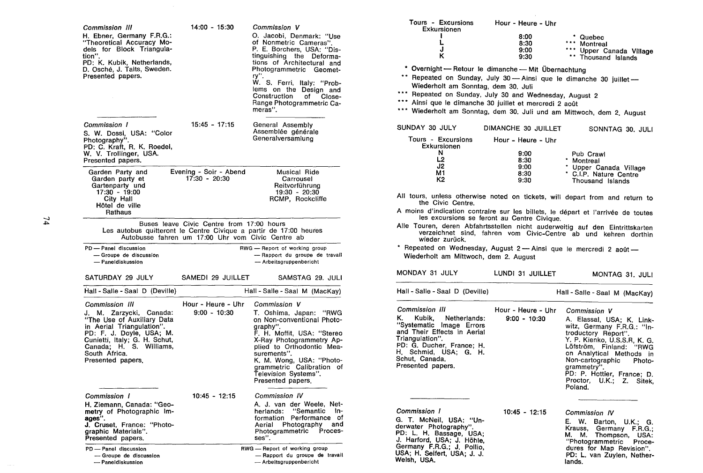| Commission III<br>H. Ebner, Germany F.R.G.:<br>"Theoretical Accuracy Mo-<br>dels for Block Triangula-<br>tion".<br>PD: K. Kubik, Netherlands,<br>D. Osché, J. Talts, Sweden.<br>Presented papers.                                         | $14:00 - 15:30$                                                                                | Commission V<br>O. Jacobi, Denmark: "Use<br>of Nonmetric Cameras".<br>P. E. Borchers, USA: "Dis-<br>tinguishing the Deforma-<br>tions of Architectural and<br>Photogrammetric Geomet-<br>ry".<br>W. S. Ferri, Italy: "Prob-<br>lems on the Design and<br>Construction<br>of<br>Close-<br>Range Photogrammetric Ca-<br>meras". |
|-------------------------------------------------------------------------------------------------------------------------------------------------------------------------------------------------------------------------------------------|------------------------------------------------------------------------------------------------|-------------------------------------------------------------------------------------------------------------------------------------------------------------------------------------------------------------------------------------------------------------------------------------------------------------------------------|
| Commission 1<br>S. W. Dossi, USA: "Color<br>Photography".<br>PD: C. Kraft, R. K. Roedel,<br>W. V. Trollinger, USA.<br>Presented papers.                                                                                                   | $15:45 - 17:15$                                                                                | General Assembly<br>Assemblée générale<br>Generalversamlung                                                                                                                                                                                                                                                                   |
| Garden Party and<br>Garden party et<br>Gartenparty und<br>$17:30 - 19:00$<br>City Hall<br>Hôtel de ville<br>Rathaus                                                                                                                       | Evening - Soir - Abend<br>17:30 - 20:30                                                        | Musical Ride<br>Carrousel<br>Reitvorführung<br>19:30 - 20:30<br>RCMP, Rockcliffe                                                                                                                                                                                                                                              |
| Les autobus quitteront le Centre Civique a partir de 17:00 heures                                                                                                                                                                         | Buses leave Civic Centre from 17:00 hours<br>Autobusse fahren um 17:00 Uhr vom Civic Centre ab |                                                                                                                                                                                                                                                                                                                               |
| PD - Panel discussion<br>-Groupe de discussion<br>- Paneldiskussion                                                                                                                                                                       |                                                                                                | RWG - Report of working group<br>- Rapport du groupe de travail<br>- Arbeitsgruppenbericht                                                                                                                                                                                                                                    |
| SATURDAY 29 JULY                                                                                                                                                                                                                          | SAMEDI 29 JUILLET                                                                              | SAMSTAG 29. JULI                                                                                                                                                                                                                                                                                                              |
| Hall - Salle - Saal D (Deville)                                                                                                                                                                                                           |                                                                                                | Hall - Salle - Saal M (MacKay)                                                                                                                                                                                                                                                                                                |
| <b>Commission III</b><br>J. M. Zarzycki, Canada:<br>"The Use of Auxiliary Data<br>in Aerial Triangulation".<br>PD: F. J. Doyle, USA; M.<br>Cunietti, Italy; G. H. Schut,<br>Canada; H. S. Williams,<br>South Africa.<br>Presented papers, | Hour - Heure - Uhr<br>$9:00 - 10:30$                                                           | Commission V<br>T. Oshima, Japan: "RWG<br>on Non-conventional Photo-<br>graphy".<br>F. H. Moffit, USA: "Stereo<br>X-Ray Photogrammetry Ap-<br>plied to Orthodontic Mea-<br>surements".<br>K. M. Wong, USA: "Photo-<br>grammetric Calibration of<br>Television Systems".<br>Presented papers.                                  |
| Commission 1<br>H. Ziemann. Canada: "Geo-<br>metry of Photographic Im-<br>ages".<br>J. Cruset, France: "Photo-<br>graphic Materials".<br>Presented papers.<br>PD - Panel discussion                                                       | 10:45 - 12:15                                                                                  | Commission IV<br>A. J. van der Weele, Net-<br>"Semantic<br>herlands:<br>In-<br>Performance<br>formation<br>оf<br>Photography<br>Aerial<br>and<br>Photogrammetric<br>Proces-<br>ses".<br>RWG — Report of working group                                                                                                         |
| - Groupe de discussion<br>- Paneldiskussion                                                                                                                                                                                               |                                                                                                | - Rapport du groupe de travail<br>- Arbeitsgruppenbericht                                                                                                                                                                                                                                                                     |

| Tours - Excursions Hour - Heure - Uhr<br>Exkursionen                                                                                                                                                                                                                                                                                                              |                      |                                                                                                                                                                                                                                                                                      |
|-------------------------------------------------------------------------------------------------------------------------------------------------------------------------------------------------------------------------------------------------------------------------------------------------------------------------------------------------------------------|----------------------|--------------------------------------------------------------------------------------------------------------------------------------------------------------------------------------------------------------------------------------------------------------------------------------|
| L<br>L                                                                                                                                                                                                                                                                                                                                                            | 8:00<br>8:30         | * Quebec<br>*** Montreal                                                                                                                                                                                                                                                             |
| J<br>ĸ                                                                                                                                                                                                                                                                                                                                                            | 9:00<br>9:30         | *** Upper Canada Village<br>** Thousand Islands                                                                                                                                                                                                                                      |
| * Overnight - Retour le dimanche - Mit Übernachtung<br>** Repeated on Sunday, July 30 - Ainsi que le dimanche 30 juillet -<br>Wiederholt am Sonntag, dem 30. Juli<br>*** Repeated on Sunday, July 30 and Wednesday, August 2<br>*** Ainsi que le dimanche 30 juillet et mercredi 2 août<br>*** Wiederholt am Sonntag, dem 30. Juli und am Mittwoch, dem 2. August |                      |                                                                                                                                                                                                                                                                                      |
| SUNDAY 30 JULY                                                                                                                                                                                                                                                                                                                                                    | DIMANCHE 30 JUILLET  | SONNTAG 30. JULI                                                                                                                                                                                                                                                                     |
| Tours - Excursions<br>Exkursionen                                                                                                                                                                                                                                                                                                                                 | Hour - Heure - Uhr   |                                                                                                                                                                                                                                                                                      |
| N<br>L <sub>2</sub>                                                                                                                                                                                                                                                                                                                                               | 9:00<br>8:30         | Pub Crawl<br>* Montreal                                                                                                                                                                                                                                                              |
| J2<br>M1<br>К2                                                                                                                                                                                                                                                                                                                                                    | 9:00<br>8:30<br>9:30 | * Upper Canada Village<br>* C.I.P. Nature Centre<br>Thousand Islands                                                                                                                                                                                                                 |
| the Civic Centre.                                                                                                                                                                                                                                                                                                                                                 |                      | All tours, unless otherwise noted on tickets, will depart from and return to                                                                                                                                                                                                         |
| les excursions se feront au Centre Civique.                                                                                                                                                                                                                                                                                                                       |                      | A moins d'indication contraire sur les billets, le départ et l'arrivée de toutes                                                                                                                                                                                                     |
| wieder zurück.                                                                                                                                                                                                                                                                                                                                                    |                      | Alle Touren, deren Abfahrtsstellen nicht auderweitig auf den Eintrittskarten<br>verzeichnet sind, fahren vom Civic-Centre ab und kehren dorthin                                                                                                                                      |
| * Repeated on Wednesday, August 2 - Ainsi que le mercredi 2 août -<br>Wiederholt am Mittwoch, dem 2. August                                                                                                                                                                                                                                                       |                      |                                                                                                                                                                                                                                                                                      |
| MONDAY 31 JULY                                                                                                                                                                                                                                                                                                                                                    | LUNDI 31 JUILLET     | MONTAG 31. JULI                                                                                                                                                                                                                                                                      |
| Hall - Salle - Saal D (Deville)                                                                                                                                                                                                                                                                                                                                   |                      | Hall - Salle - Saal M (MacKay)                                                                                                                                                                                                                                                       |
| Commission III                                                                                                                                                                                                                                                                                                                                                    | Hour - Heure - Uhr   | Commission V                                                                                                                                                                                                                                                                         |
| К.<br>Kubik, Netherlands:<br>"Systematic Image Errors<br>and Their Effects in Aerial<br>Triangulation".<br>PD: G. Ducher, France; H.<br>H. Schmid, USA; G. H.<br>Schut, Canada,<br>Presented papers.                                                                                                                                                              | $9:00 - 10:30$       | A. Elassal, USA; K. Link-<br>witz, Germany F.R.G.: "In-<br>troductory Report".<br>Y. P. Kienko, U.S.S.R, K. G.<br>Löfström, Finland: "RWG<br>on Analytical Methods in<br>Non-cartographic Photo-<br>grammetry".<br>PD: P. Hottier, France; D.<br>Proctor, U.K.; Z. Sitek,<br>Poland. |
| Commission 1<br>G. T. McNeil, USA: "Un-<br>derwater Photography".<br>PD: L. H. Bassage, USA;<br>J. Harford, USA; J. Höhle,<br>Germany F.R.G.; J. Pollio,<br>USA; H. Seifert, USA; J. J.<br>Welsh, USA.                                                                                                                                                            | 10:45 - 12:15        | Commission IV<br>E.W.<br>Barton, U.K.; G.<br>Krauss,<br>Germany<br>F.R.G.<br>M. M. Thompson,<br>USA:<br>"Photogrammetric<br>Proce-<br>dures for Map Revision".<br>PD: L. van Zuylen, Nether-<br>lands                                                                                |

PD: L. van Zuylen, Nether-lands.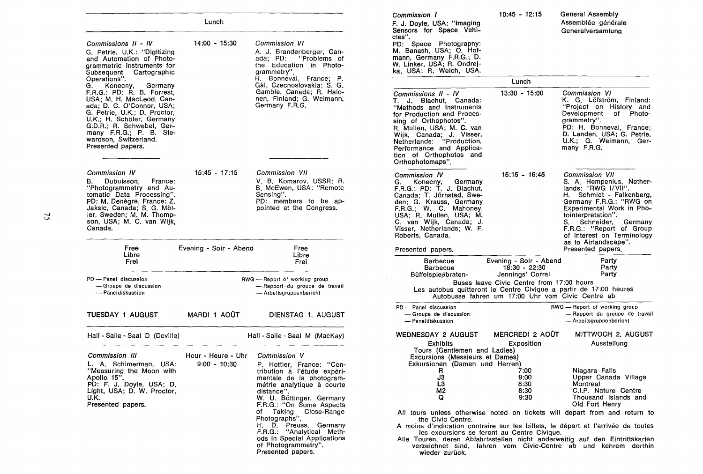|                                                                                                                                                                                                                                                        | Lunch                                |                                                                                                                                                                                                                                                                                                                                                                                      | Commission 1<br>F. J. Doyle, USA: "Imaging<br>Sensors for Space Vehi-                                                                                                                                                                                                                              | $10:45 - 12:15$                                                                                                                     | General Assembly<br>Assemblée générale<br>Generalversamlung                                                                                                                                                                                                                                                                                                                                                                              |
|--------------------------------------------------------------------------------------------------------------------------------------------------------------------------------------------------------------------------------------------------------|--------------------------------------|--------------------------------------------------------------------------------------------------------------------------------------------------------------------------------------------------------------------------------------------------------------------------------------------------------------------------------------------------------------------------------------|----------------------------------------------------------------------------------------------------------------------------------------------------------------------------------------------------------------------------------------------------------------------------------------------------|-------------------------------------------------------------------------------------------------------------------------------------|------------------------------------------------------------------------------------------------------------------------------------------------------------------------------------------------------------------------------------------------------------------------------------------------------------------------------------------------------------------------------------------------------------------------------------------|
| $14:00 - 15:30$<br>Commissions II - IV<br>G. Petrie, U.K.: "Digitizing<br>and Automation of Photo-<br>grammetric Instruments for<br>Subsequent Cartographic                                                                                            |                                      | Commission VI<br>A. J. Brandenberger, Can-<br>ada; PD: "Problems of<br>the Education in Photo-<br>grammetry".                                                                                                                                                                                                                                                                        | cles".<br>PD: Space Photograpny:<br>M. Banash, USA; O. Hof-<br>mann, Germany F.R.G.; D.<br>W. Linker, USA; R. Ondrej-<br>ka, USA; R. Welch, USA.                                                                                                                                                   |                                                                                                                                     |                                                                                                                                                                                                                                                                                                                                                                                                                                          |
| Operations".<br>Konecny, Germany<br>G.                                                                                                                                                                                                                 |                                      | H. Bonneval, France; P.<br>Gál, Czechoslovakia; S. G.                                                                                                                                                                                                                                                                                                                                |                                                                                                                                                                                                                                                                                                    | Lunch                                                                                                                               |                                                                                                                                                                                                                                                                                                                                                                                                                                          |
| F.R.G.: PD: R. B. Forrest,<br>USA; M. H. MacLeod, Can-<br>ada; D. C. O'Connor, USA;<br>G. Petrie, U.K.; D. Proctor,<br>U.K.; H. Schöler, Germany<br>G.D.R.; R. Schwebel, Ger-<br>many F.R.G.; P. B. Ste-<br>wardson, Switzerland.<br>Presented papers. |                                      | Gamble, Canada; R. Halo-<br>nen, Finland; G. Weimann,<br>Germany F.R.G.                                                                                                                                                                                                                                                                                                              | Commissions II - IV<br>T. J. Blachut, Canada:<br>"Methods and Instruments"<br>for Production and Proces-<br>sing of Orthophotos".<br>R. Mullen, USA; M. C. van<br>Wijk, Canada; J. Visser,<br>Netherlands: "Production,<br>Performance and Applica-<br>tion of Orthophotos and<br>Orthophotomaps". | 13:30 - 15:00                                                                                                                       | Commission VI<br>K. G. Löfström, Finland:<br>"Project on History and<br>Development of Photo-<br>grammetry".<br>PD: H. Bonneval, France;<br>D. Landen, USA; G. Petrie,<br>U.K.; G. Weimann, Ger-<br>many F.R.G.                                                                                                                                                                                                                          |
| Commission IV<br>B. Dubuisson,<br>France:<br>"Photogrammetry and Au-<br>tomatic Data Processing".<br>PD: M. Denègre, France; Z.<br>Jaksic, Canada; S. G. Möl-<br>ler, Sweden: M. M. Thomp-<br>son, USA; M. C. van Wijk,<br>Canada.                     | $15:45 - 17:15$                      | Commission VII<br>V. B. Komarov, USSR; R.<br>B. McEwen, USA: "Remote<br>Sensing".<br>PD: members to be ap-<br>pointed at the Congress.                                                                                                                                                                                                                                               | Commission IV<br>Konecny,<br>Germany<br>G.<br>F.R.G.: PD: T. J. Blachut,<br>Canada; T. Jörnstad, Swe-<br>den; G. Krauss, Germany<br>F.R.G.; W. C. Mahoney,<br>USA; R. Mullen, USA; M.<br>C. van Wijk, Canada; J.<br>Visser, Netherlands; W. F.<br>Roberts, Canada.                                 | $15:15 - 16:45$                                                                                                                     | Commission VII<br>S. A. Hempenius, Nether-<br>lands: "RWG I/VII".<br>H. Schmidt - Falkenberg,<br>Germany F.R.G.: "RWG on<br>Experimental Work in Pho-<br>tointerpretation".<br>S. Schneider, Germany<br>F.R.G.: "Report of Group<br>of Interest on Terminology<br>as to Airlandscape".                                                                                                                                                   |
| Free<br>Libre<br>Frei                                                                                                                                                                                                                                  | Evening - Soir - Abend               | Free<br>Libre<br>Frei                                                                                                                                                                                                                                                                                                                                                                | Presented papers.<br><b>Barbecue</b>                                                                                                                                                                                                                                                               | Evening - Soir - Abend                                                                                                              | Presented papers.<br>Party                                                                                                                                                                                                                                                                                                                                                                                                               |
| PD - Panel discussion<br>-Groupe de discussion<br>- Paneldiskussion                                                                                                                                                                                    |                                      | RWG - Report of working group<br>- Rapport du groupe de travail<br>- Arbeitsgruppenbericht                                                                                                                                                                                                                                                                                           | <b>Barbecue</b><br>Büffelspießbraten-                                                                                                                                                                                                                                                              | 18:30 - 22:30<br>Jennings' Corral<br>Buses leave Civic Centre from 17:00 hours<br>Autobusse fahren um 17:00 Uhr vom Civic Centre ab | Party<br>Party<br>Les autobus quitteront le Centre Civique a partir de 17:00 heures                                                                                                                                                                                                                                                                                                                                                      |
| <b>TUESDAY 1 AUGUST</b>                                                                                                                                                                                                                                | MARDI 1 AOÛT                         | DIENSTAG 1. AUGUST                                                                                                                                                                                                                                                                                                                                                                   | PD - Panel discussion<br>- Groupe de discussion<br>- Paneldiskussion                                                                                                                                                                                                                               |                                                                                                                                     | RWG -- Report of working group<br>-Rapport du groupe de travail<br>- Arbeitsgruppenbericht                                                                                                                                                                                                                                                                                                                                               |
| Hall - Salle - Saal D (Deville)                                                                                                                                                                                                                        |                                      | Hall - Salle - Saal M (MacKay)                                                                                                                                                                                                                                                                                                                                                       | <b>WEDNESDAY 2 AUGUST</b><br><b>Exhibits</b>                                                                                                                                                                                                                                                       | MERCREDI 2 AOÛT<br>Exposition                                                                                                       | MITTWOCH 2. AUGUST<br>Ausstellung                                                                                                                                                                                                                                                                                                                                                                                                        |
| <b>Commission III</b><br>L. A. Schimerman, USA:<br>"Measuring the Moon with<br>Apollo 15".<br>PD: F. J. Doyle, USA; D.<br>Light, USA; D. W. Proctor,<br>U.K.<br>Presented papers.                                                                      | Hour - Heure - Uhr<br>$9:00 - 10:30$ | Commission V<br>P. Hottier, France: "Con-<br>tribution à l'étude expéri-<br>mentale de la photogram-<br>métrie analytique à courte<br>distance".<br>W. U. Böttinger, Germany<br>F.R.G.: "On Some Aspects"<br>of Taking Close-Range<br>Photographs".<br>H. D. Preuss, Germany<br>F.R.G.: "Analytical Meth-<br>ods in Special Applications<br>of Photogrammetry".<br>Presented papers. | Tours (Gentlemen and Ladies)<br>Excursions (Messieurs et Dames)<br>Exkursionen (Damen und Herren)<br>R<br>J3<br>LЗ<br>M2<br>Q<br>the Civic Centre.<br>wieder zurück.                                                                                                                               | 7:00<br>9:00<br>8:30<br>8:30<br>9:30<br>les excursions se feront au Centre Civique.                                                 | Niagara Falls<br>Upper Canada Village<br>Montreal<br>C.I.P. Nature Centre<br>Thousand Islands and<br>Old Fort Henry<br>All tours unless otherwise noted on tickets will depart from and return to<br>A moins d'indication contraire sur les billets, le départ et l'arrivée de toutes<br>Alle Touren, deren Abfahrtsstellen nicht anderweitig auf den Eintrittskarten<br>verzeichnet sind, fahren vom Civic-Centre ab und kehrem dorthin |

.\_) Vl